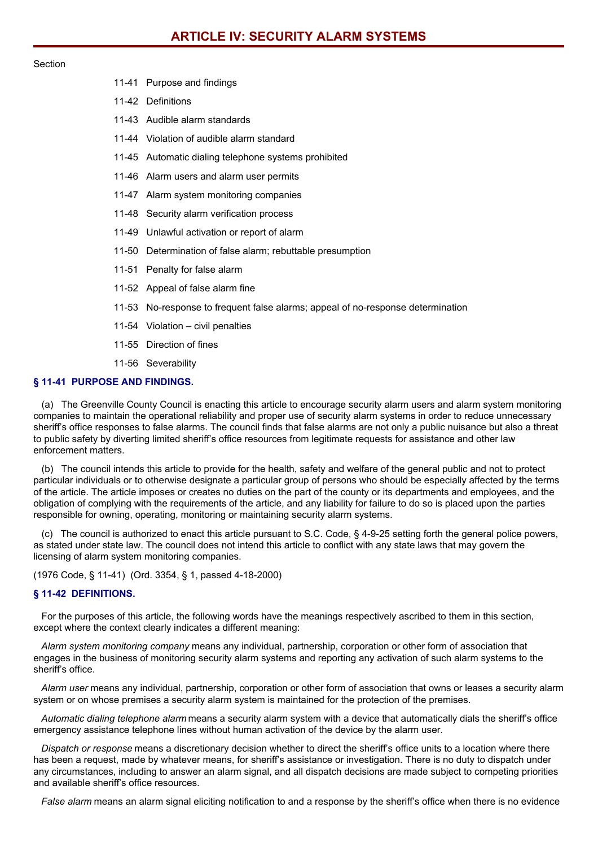#### Section

- 11-41 Purpose and findings
- 11-42 Definitions
- 11-43 Audible alarm standards
- 11-44 Violation of audible alarm standard
- 11-45 Automatic dialing telephone systems prohibited
- 11-46 Alarm users and alarm user permits
- 11-47 Alarm system monitoring companies
- 11-48 Security alarm verification process
- 11-49 Unlawful activation or report of alarm
- 11-50 Determination of false alarm; rebuttable presumption
- 11-51 Penalty for false alarm
- 11-52 Appeal of false alarm fine
- 11-53 No-response to frequent false alarms; appeal of no-response determination
- 11-54 Violation civil penalties
- 11-55 Direction of fines
- 11-56 Severability

# **§ 11-41 PURPOSE AND FINDINGS.**

(a) The Greenville County Council is enacting this article to encourage security alarm users and alarm system monitoring companies to maintain the operational reliability and proper use of security alarm systems in order to reduce unnecessary sheriff's office responses to false alarms. The council finds that false alarms are not only a public nuisance but also a threat to public safety by diverting limited sheriff's office resources from legitimate requests for assistance and other law enforcement matters.

(b) The council intends this article to provide for the health, safety and welfare of the general public and not to protect particular individuals or to otherwise designate a particular group of persons who should be especially affected by the terms of the article. The article imposes or creates no duties on the part of the county or its departments and employees, and the obligation of complying with the requirements of the article, and any liability for failure to do so is placed upon the parties responsible for owning, operating, monitoring or maintaining security alarm systems.

(c) The council is authorized to enact this article pursuant to S.C. Code, § 4-9-25 setting forth the general police powers, as stated under state law. The council does not intend this article to conflict with any state laws that may govern the licensing of alarm system monitoring companies.

(1976 Code, § 11-41) (Ord. 3354, § 1, passed 4-18-2000)

#### **§ 11-42 DEFINITIONS.**

For the purposes of this article, the following words have the meanings respectively ascribed to them in this section, except where the context clearly indicates a different meaning:

*Alarm system monitoring company* means any individual, partnership, corporation or other form of association that engages in the business of monitoring security alarm systems and reporting any activation of such alarm systems to the sheriff's office.

*Alarm user* means any individual, partnership, corporation or other form of association that owns or leases a security alarm system or on whose premises a security alarm system is maintained for the protection of the premises.

*Automatic dialing telephone alarm* means a security alarm system with a device that automatically dials the sheriff's office emergency assistance telephone lines without human activation of the device by the alarm user.

*Dispatch or response* means a discretionary decision whether to direct the sheriff's office units to a location where there has been a request, made by whatever means, for sheriff's assistance or investigation. There is no duty to dispatch under any circumstances, including to answer an alarm signal, and all dispatch decisions are made subject to competing priorities and available sheriff's office resources.

*False alarm* means an alarm signal eliciting notification to and a response by the sheriff's office when there is no evidence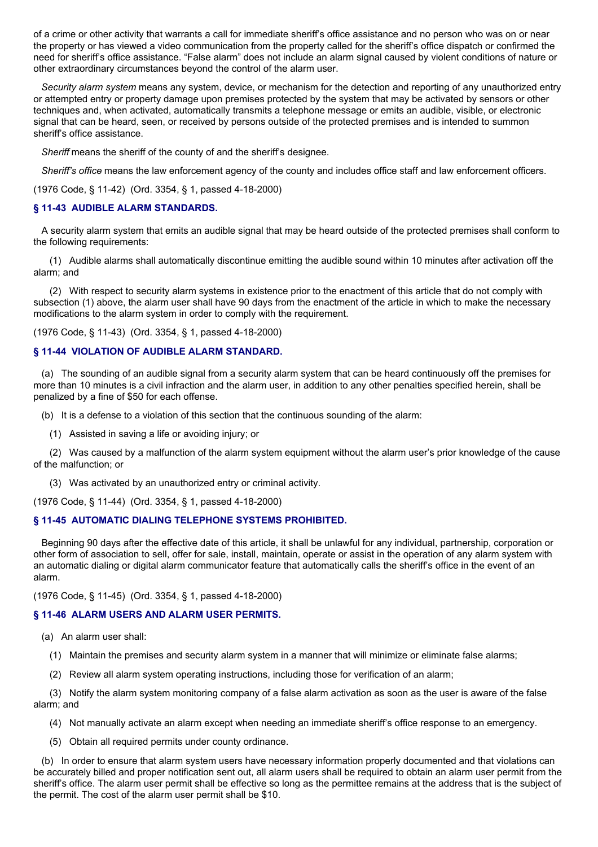of a crime or other activity that warrants a call for immediate sheriff's office assistance and no person who was on or near the property or has viewed a video communication from the property called for the sheriff's office dispatch or confirmed the need for sheriff's office assistance. "False alarm" does not include an alarm signal caused by violent conditions of nature or other extraordinary circumstances beyond the control of the alarm user.

*Security alarm system* means any system, device, or mechanism for the detection and reporting of any unauthorized entry or attempted entry or property damage upon premises protected by the system that may be activated by sensors or other techniques and, when activated, automatically transmits a telephone message or emits an audible, visible, or electronic signal that can be heard, seen, or received by persons outside of the protected premises and is intended to summon sheriff's office assistance.

*Sheriff* means the sheriff of the county of and the sheriff's designee.

*Sheriff's office* means the law enforcement agency of the county and includes office staff and law enforcement officers.

(1976 Code, § 11-42) (Ord. 3354, § 1, passed 4-18-2000)

## **§ 11-43 AUDIBLE ALARM STANDARDS.**

A security alarm system that emits an audible signal that may be heard outside of the protected premises shall conform to the following requirements:

(1) Audible alarms shall automatically discontinue emitting the audible sound within 10 minutes after activation off the alarm; and

(2) With respect to security alarm systems in existence prior to the enactment of this article that do not comply with subsection (1) above, the alarm user shall have 90 days from the enactment of the article in which to make the necessary modifications to the alarm system in order to comply with the requirement.

(1976 Code, § 11-43) (Ord. 3354, § 1, passed 4-18-2000)

## **§ 11-44 VIOLATION OF AUDIBLE ALARM STANDARD.**

(a) The sounding of an audible signal from a security alarm system that can be heard continuously off the premises for more than 10 minutes is a civil infraction and the alarm user, in addition to any other penalties specified herein, shall be penalized by a fine of \$50 for each offense.

(b) It is a defense to a violation of this section that the continuous sounding of the alarm:

(1) Assisted in saving a life or avoiding injury; or

(2) Was caused by a malfunction of the alarm system equipment without the alarm user's prior knowledge of the cause of the malfunction; or

(3) Was activated by an unauthorized entry or criminal activity.

(1976 Code, § 11-44) (Ord. 3354, § 1, passed 4-18-2000)

## **§ 11-45 AUTOMATIC DIALING TELEPHONE SYSTEMS PROHIBITED.**

Beginning 90 days after the effective date of this article, it shall be unlawful for any individual, partnership, corporation or other form of association to sell, offer for sale, install, maintain, operate or assist in the operation of any alarm system with an automatic dialing or digital alarm communicator feature that automatically calls the sheriff's office in the event of an alarm.

(1976 Code, § 11-45) (Ord. 3354, § 1, passed 4-18-2000)

## **§ 11-46 ALARM USERS AND ALARM USER PERMITS.**

(a) An alarm user shall:

- (1) Maintain the premises and security alarm system in a manner that will minimize or eliminate false alarms;
- (2) Review all alarm system operating instructions, including those for verification of an alarm;

(3) Notify the alarm system monitoring company of a false alarm activation as soon as the user is aware of the false alarm; and

- (4) Not manually activate an alarm except when needing an immediate sheriff's office response to an emergency.
- (5) Obtain all required permits under county ordinance.

(b) In order to ensure that alarm system users have necessary information properly documented and that violations can be accurately billed and proper notification sent out, all alarm users shall be required to obtain an alarm user permit from the sheriff's office. The alarm user permit shall be effective so long as the permittee remains at the address that is the subject of the permit. The cost of the alarm user permit shall be \$10.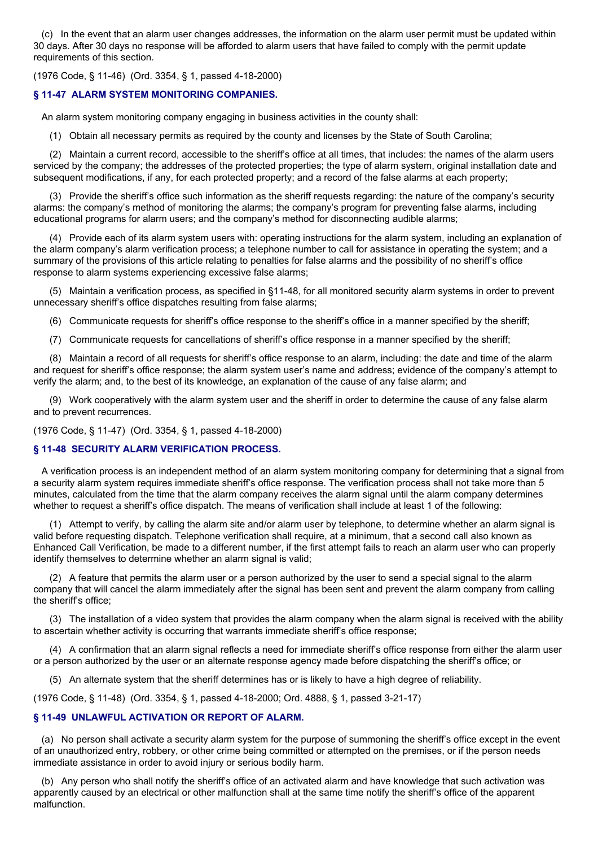(c) In the event that an alarm user changes addresses, the information on the alarm user permit must be updated within 30 days. After 30 days no response will be afforded to alarm users that have failed to comply with the permit update requirements of this section.

(1976 Code, § 11-46) (Ord. 3354, § 1, passed 4-18-2000)

## **§ 11-47 ALARM SYSTEM MONITORING COMPANIES.**

An alarm system monitoring company engaging in business activities in the county shall:

(1) Obtain all necessary permits as required by the county and licenses by the State of South Carolina;

(2) Maintain a current record, accessible to the sheriff's office at all times, that includes: the names of the alarm users serviced by the company; the addresses of the protected properties; the type of alarm system, original installation date and subsequent modifications, if any, for each protected property; and a record of the false alarms at each property;

(3) Provide the sheriff's office such information as the sheriff requests regarding: the nature of the company's security alarms: the company's method of monitoring the alarms; the company's program for preventing false alarms, including educational programs for alarm users; and the company's method for disconnecting audible alarms;

(4) Provide each of its alarm system users with: operating instructions for the alarm system, including an explanation of the alarm company's alarm verification process; a telephone number to call for assistance in operating the system; and a summary of the provisions of this article relating to penalties for false alarms and the possibility of no sheriff's office response to alarm systems experiencing excessive false alarms;

(5) Maintain a verification process, as specified in §11-48, for all monitored security alarm systems in order to prevent unnecessary sheriff's office dispatches resulting from false alarms;

(6) Communicate requests for sheriff's office response to the sheriff's office in a manner specified by the sheriff;

(7) Communicate requests for cancellations of sheriff's office response in a manner specified by the sheriff;

(8) Maintain a record of all requests for sheriff's office response to an alarm, including: the date and time of the alarm and request for sheriff's office response; the alarm system user's name and address; evidence of the company's attempt to verify the alarm; and, to the best of its knowledge, an explanation of the cause of any false alarm; and

(9) Work cooperatively with the alarm system user and the sheriff in order to determine the cause of any false alarm and to prevent recurrences.

(1976 Code, § 11-47) (Ord. 3354, § 1, passed 4-18-2000)

## **§ 11-48 SECURITY ALARM VERIFICATION PROCESS.**

A verification process is an independent method of an alarm system monitoring company for determining that a signal from a security alarm system requires immediate sheriff's office response. The verification process shall not take more than 5 minutes, calculated from the time that the alarm company receives the alarm signal until the alarm company determines whether to request a sheriff's office dispatch. The means of verification shall include at least 1 of the following:

(1) Attempt to verify, by calling the alarm site and/or alarm user by telephone, to determine whether an alarm signal is valid before requesting dispatch. Telephone verification shall require, at a minimum, that a second call also known as Enhanced Call Verification, be made to a different number, if the first attempt fails to reach an alarm user who can properly identify themselves to determine whether an alarm signal is valid;

(2) A feature that permits the alarm user or a person authorized by the user to send a special signal to the alarm company that will cancel the alarm immediately after the signal has been sent and prevent the alarm company from calling the sheriff's office;

(3) The installation of a video system that provides the alarm company when the alarm signal is received with the ability to ascertain whether activity is occurring that warrants immediate sheriff's office response;

(4) A confirmation that an alarm signal reflects a need for immediate sheriff's office response from either the alarm user or a person authorized by the user or an alternate response agency made before dispatching the sheriff's office; or

(5) An alternate system that the sheriff determines has or is likely to have a high degree of reliability.

(1976 Code, § 11-48) (Ord. 3354, § 1, passed 4-18-2000; Ord. 4888, § 1, passed 3-21-17)

## **§ 11-49 UNLAWFUL ACTIVATION OR REPORT OF ALARM.**

(a) No person shall activate a security alarm system for the purpose of summoning the sheriff's office except in the event of an unauthorized entry, robbery, or other crime being committed or attempted on the premises, or if the person needs immediate assistance in order to avoid injury or serious bodily harm.

(b) Any person who shall notify the sheriff's office of an activated alarm and have knowledge that such activation was apparently caused by an electrical or other malfunction shall at the same time notify the sheriff's office of the apparent malfunction.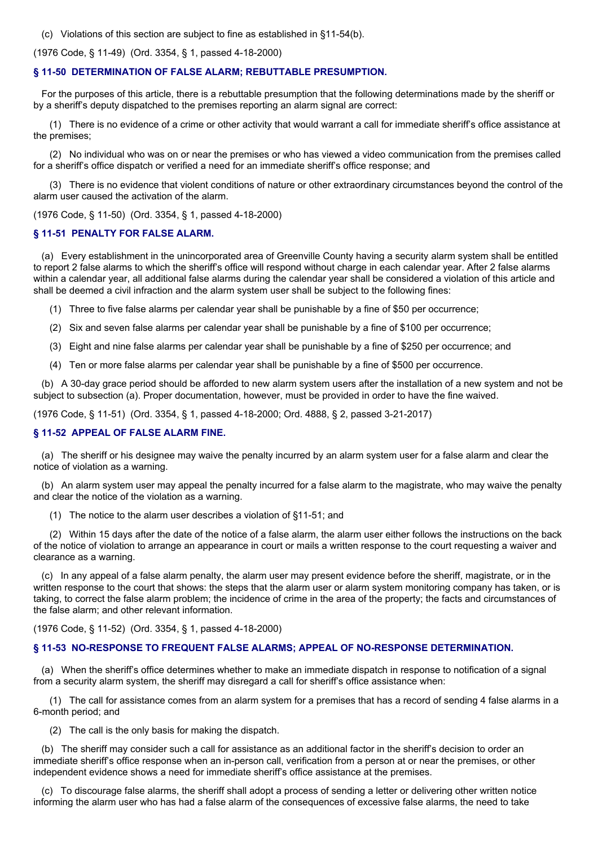(c) Violations of this section are subject to fine as established in §11-54(b).

(1976 Code, § 11-49) (Ord. 3354, § 1, passed 4-18-2000)

#### **§ 11-50 DETERMINATION OF FALSE ALARM; REBUTTABLE PRESUMPTION.**

For the purposes of this article, there is a rebuttable presumption that the following determinations made by the sheriff or by a sheriff's deputy dispatched to the premises reporting an alarm signal are correct:

(1) There is no evidence of a crime or other activity that would warrant a call for immediate sheriff's office assistance at the premises;

(2) No individual who was on or near the premises or who has viewed a video communication from the premises called for a sheriff's office dispatch or verified a need for an immediate sheriff's office response; and

(3) There is no evidence that violent conditions of nature or other extraordinary circumstances beyond the control of the alarm user caused the activation of the alarm.

(1976 Code, § 11-50) (Ord. 3354, § 1, passed 4-18-2000)

#### **§ 11-51 PENALTY FOR FALSE ALARM.**

(a) Every establishment in the unincorporated area of Greenville County having a security alarm system shall be entitled to report 2 false alarms to which the sheriff's office will respond without charge in each calendar year. After 2 false alarms within a calendar year, all additional false alarms during the calendar year shall be considered a violation of this article and shall be deemed a civil infraction and the alarm system user shall be subject to the following fines:

- (1) Three to five false alarms per calendar year shall be punishable by a fine of \$50 per occurrence;
- (2) Six and seven false alarms per calendar year shall be punishable by a fine of \$100 per occurrence;
- (3) Eight and nine false alarms per calendar year shall be punishable by a fine of \$250 per occurrence; and
- (4) Ten or more false alarms per calendar year shall be punishable by a fine of \$500 per occurrence.

(b) A 30-day grace period should be afforded to new alarm system users after the installation of a new system and not be subject to subsection (a). Proper documentation, however, must be provided in order to have the fine waived.

(1976 Code, § 11-51) (Ord. 3354, § 1, passed 4-18-2000; Ord. 4888, § 2, passed 3-21-2017)

## **§ 11-52 APPEAL OF FALSE ALARM FINE.**

(a) The sheriff or his designee may waive the penalty incurred by an alarm system user for a false alarm and clear the notice of violation as a warning.

(b) An alarm system user may appeal the penalty incurred for a false alarm to the magistrate, who may waive the penalty and clear the notice of the violation as a warning.

(1) The notice to the alarm user describes a violation of §11-51; and

(2) Within 15 days after the date of the notice of a false alarm, the alarm user either follows the instructions on the back of the notice of violation to arrange an appearance in court or mails a written response to the court requesting a waiver and clearance as a warning.

(c) In any appeal of a false alarm penalty, the alarm user may present evidence before the sheriff, magistrate, or in the written response to the court that shows: the steps that the alarm user or alarm system monitoring company has taken, or is taking, to correct the false alarm problem; the incidence of crime in the area of the property; the facts and circumstances of the false alarm; and other relevant information.

(1976 Code, § 11-52) (Ord. 3354, § 1, passed 4-18-2000)

#### **§ 11-53 NO-RESPONSE TO FREQUENT FALSE ALARMS; APPEAL OF NO-RESPONSE DETERMINATION.**

(a) When the sheriff's office determines whether to make an immediate dispatch in response to notification of a signal from a security alarm system, the sheriff may disregard a call for sheriff's office assistance when:

(1) The call for assistance comes from an alarm system for a premises that has a record of sending 4 false alarms in a 6-month period; and

(2) The call is the only basis for making the dispatch.

(b) The sheriff may consider such a call for assistance as an additional factor in the sheriff's decision to order an immediate sheriff's office response when an in-person call, verification from a person at or near the premises, or other independent evidence shows a need for immediate sheriff's office assistance at the premises.

(c) To discourage false alarms, the sheriff shall adopt a process of sending a letter or delivering other written notice informing the alarm user who has had a false alarm of the consequences of excessive false alarms, the need to take